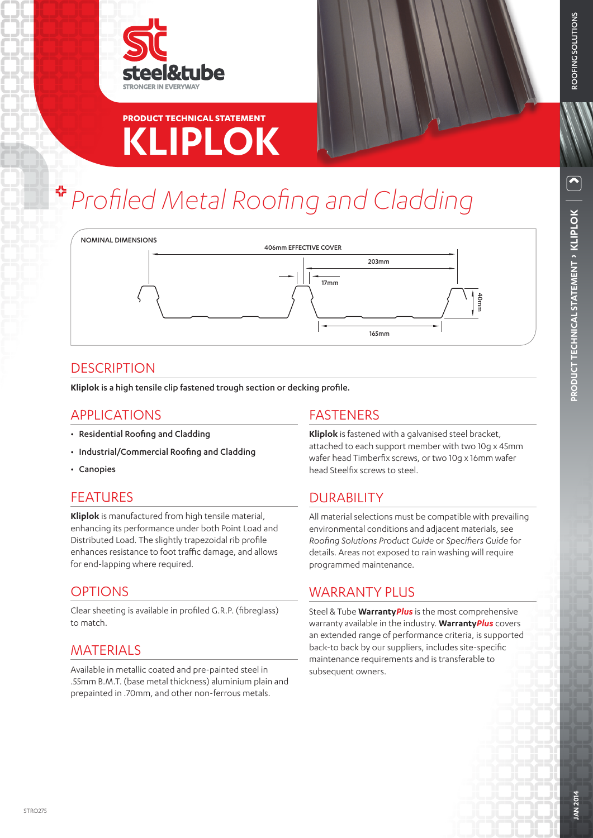



# **KLIPLOK PRODUCT TECHNICAL STATEMENT**

# *Profiled Metal Roofing and Cladding*



#### **DESCRIPTION**

**Kliplok** is a high tensile clip fastened trough section or decking profile.

#### APPLICATIONS

- Residential Roofing and Cladding
- Industrial/Commercial Roofing and Cladding
- Canopies

#### **FFATURES**

**Kliplok** is manufactured from high tensile material, enhancing its performance under both Point Load and Distributed Load. The slightly trapezoidal rib profile enhances resistance to foot traffic damage, and allows for end-lapping where required.

#### **OPTIONS**

Clear sheeting is available in profiled G.R.P. (fibreglass) to match.

# MATERIALS

Available in metallic coated and pre-painted steel in .55mm B.M.T. (base metal thickness) aluminium plain and prepainted in .70mm, and other non-ferrous metals.

#### FASTENERS

**Kliplok** is fastened with a galvanised steel bracket, attached to each support member with two 10g x 45mm wafer head Timberfix screws, or two 10g x 16mm wafer head Steelfix screws to steel.

# DURABILITY

All material selections must be compatible with prevailing environmental conditions and adjacent materials, see *Roofing Solutions Product Guide* or *Specifiers Guide* for details. Areas not exposed to rain washing will require programmed maintenance.

#### WARRANTY PLUS

Steel & Tube **Warranty***Plus* is the most comprehensive warranty available in the industry. **Warranty***Plus* covers an extended range of performance criteria, is supported back-to back by our suppliers, includes site-specific maintenance requirements and is transferable to subsequent owners.

ROOFING SOLUTIONS

ROOFING SOLUTIONS